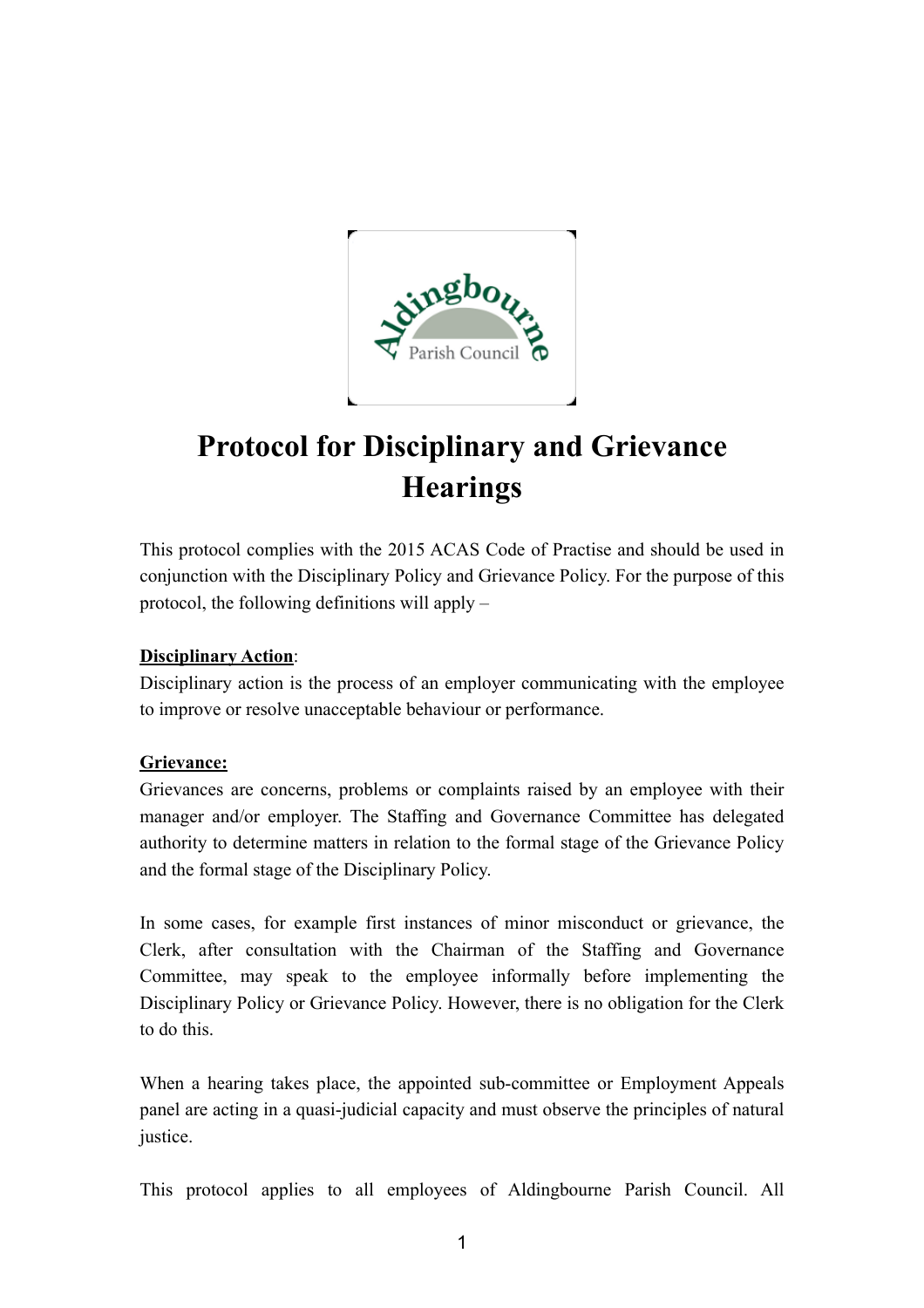

## **Protocol for Disciplinary and Grievance Hearings**

This protocol complies with the 2015 ACAS Code of Practise and should be used in conjunction with the Disciplinary Policy and Grievance Policy. For the purpose of this protocol, the following definitions will apply –

## **Disciplinary Action**:

Disciplinary action is the process of an employer communicating with the employee to improve or resolve unacceptable behaviour or performance.

## **Grievance:**

Grievances are concerns, problems or complaints raised by an employee with their manager and/or employer. The Staffing and Governance Committee has delegated authority to determine matters in relation to the formal stage of the Grievance Policy and the formal stage of the Disciplinary Policy.

In some cases, for example first instances of minor misconduct or grievance, the Clerk, after consultation with the Chairman of the Staffing and Governance Committee, may speak to the employee informally before implementing the Disciplinary Policy or Grievance Policy. However, there is no obligation for the Clerk to do this.

When a hearing takes place, the appointed sub-committee or Employment Appeals panel are acting in a quasi-judicial capacity and must observe the principles of natural justice.

This protocol applies to all employees of Aldingbourne Parish Council. All